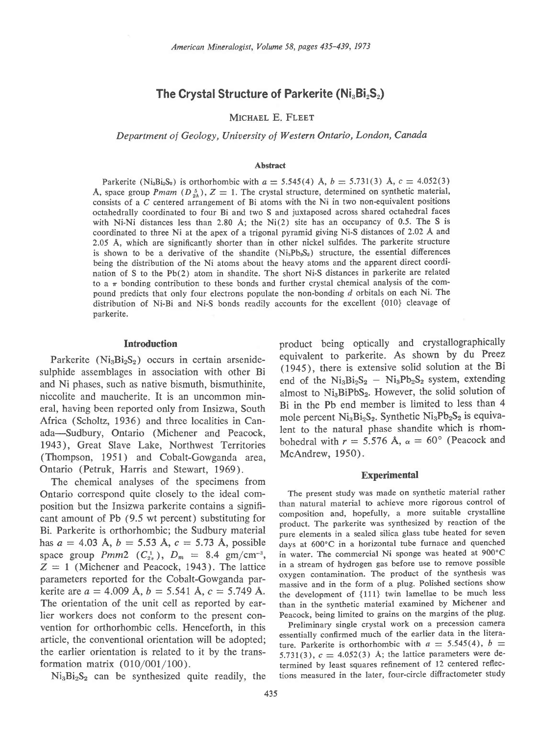# The Crystal Structure of Parkerite ( $Ni<sub>3</sub>Bi<sub>2</sub>S<sub>2</sub>$ )

MICHAEL E. FLEET

Department of Geology, University of Western Ontario, London, Canada

## **Abstract**

Parkerite (Ni<sub>a</sub>B<sub>is</sub>S<sub>2</sub>) is orthorhombic with  $a = 5.545(4)$  Å,  $b = 5.731(3)$  Å,  $c = 4.052(3)$ A, space group *Pmam* ( $D_{2b}^5$ ),  $Z = 1$ . The crystal structure, determined on synthetic material, consists of a C centered arrangement of Bi atoms with the Ni in two non-equivalent positions octahedrally coordinated to four Bi and two S and juxtaposed across shared octahedral faces with Ni-Ni distances less than 2.80 A; the Ni(2) site has an occupancy of 0.5. The S is coordinated to three Ni at the apex of a trigonal pyramid giving Ni-S distances of 2.02 A and 2.05 A, which are significantly shorter than in other nickel sulfides. The parkerite structure is shown to be a derivative of the shandite  $(N_{13}Pb_5S_2)$  structure, the essential differences being the distribution of the Ni atoms about the heavy atoms and the apparent direct coordination of S to the Pb(2) atom in shandite. The short Ni-S distances in parkerite are related to a  $\pi$  bonding contribution to these bonds and further crystal chemical analysis of the compound predicts that only four electrons populate the non-bonding d orbitals on each Ni. The distribution of Ni-Bi and Ni-S bonds readilv accounts for the excellent {010} cleavage of parkerite.

#### Introduction

Parkerite ( $Ni<sub>3</sub>Bi<sub>2</sub>S<sub>2</sub>$ ) occurs in certain arsenidesulphide assemblages in association with other Bi and Ni phases, such as native bismuth, bismuthinite, niccolite and maucherite. It is an uncommon mineral, having been reported only from Insizwa, South Africa (Scholtz, 1936) and three localities in Canada-Sudbury, Ontario (Michener and Peacock, 1943), Great Slave Lake, Northwest Territories (Thompson, 1951) and Cobalt-Gowganda area, Ontario (Petruk, Harris and Stewart, 1969).

The chemical analyses of the specimens from Ontario correspond quite closely to the ideal composition but the Insizwa parkerite contains a significant amount of Pb (9.5 wt percent) substituting for Bi. Parkerite is orthorhombic; the Sudbury material has  $a = 4.03$  Å,  $b = 5.53$  Å,  $c = 5.73$  Å, possible space group  $Pmm2$  ( $C_{2n}^1$ ),  $D_m = 8.4$  gm/cm<sup>-3</sup>,  $Z = 1$  (Michener and Peacock, 1943). The lattice parameters reported for the Cobalt-Gowganda parkerite are  $a = 4.009$  Å,  $b = 5.541$  Å,  $c = 5.749$  Å. The orientation of the unit cell as reported by earlier workers does not conform to the present convention for orthorhombic cells. Henceforth, in this article, the conventional orientation will be adopted; the earlier orientation is related to it by the transformation matrix (010/001/100).

 $Ni<sub>3</sub>Bi<sub>2</sub>S<sub>2</sub>$  can be synthesized quite readily, the

product being optically and crystallographically equivalent to parkerite. As shown by du Preez (1945), there is extensive solid solution at the Bi end of the  $Ni_3Bi_2S_2 - Ni_3Pb_2S_2$  system, extending almost to  $Ni<sub>3</sub>BiPbS<sub>2</sub>$ . However, the solid solution of Bi in the Pb end member is limited to less than 4 mole percent  $Ni<sub>3</sub>Bi<sub>2</sub>S<sub>2</sub>$ . Synthetic  $Ni<sub>3</sub>Pb<sub>2</sub>S<sub>2</sub>$  is equivalent to the natural phase shandite which is rhombohedral with  $r = 5.576$  Å,  $\alpha = 60^{\circ}$  (Peacock and McAndrew, 1950).

# **Experimental**

The present study was made on synthetic material rather than natural material to achieve more rigorous control of composition and, hopefully, a more suitable crystalline product. The parkerite was synthesized by reaction of the pure elements in a sealed silica glass tube heated for seven days at 600"C in a horizontal tube furnace and quenched in water. The commercial Ni sponge was heated at 900"C in a stream of hydrogen gas before use to remove possible oxygen contamination. The product of the synthesis was massive and in the form of a plug. Polished sections show the development of {111} twin lamellae to be much less than in the synthetic material examined by Michener and Peacock, being limited to grains on the margins of the plug.

Preliminary single crystal work on a precession camera essentially confirmed much of the earlier data in the literature. Parkerite is orthorhombic with  $a = 5.545(4)$ ,  $b =$ 5.731(3),  $c = 4.052(3)$  Å; the lattice parameters were determined by least squares refinement of 12 centered reflections measured in the later, four-circle diffractometer study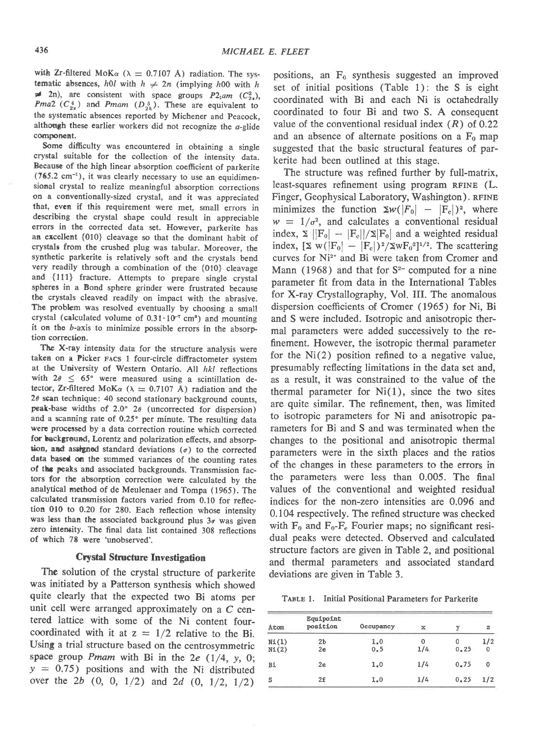with Zr-filtered MoK $\alpha$  ( $\lambda = 0.7107$  Å) radiation. The systematic absences, h0l with  $h \neq 2n$  (implying h00 with h  $\neq$  2n), are consistent with space groups P2<sub>1</sub>am ( $C_{2a}^2$ ), *Pma*2 ( $C_{2v}^4$ ) and *Pmam* ( $D_{2h}^5$ ). These are equivalent to the systematic absences reported by Michener and peacock, although these earlier workers did not recognize the  $a$ -glide component.

Some difficulty was encountered in obtaining a single crystal suitable for the collection of the intensity data. Because of the high linear absorption coefficient of parkerite  $(765.2 \text{ cm}^{-1})$ , it was clearly necessary to use an equidimensional crystal to realize meaningful absorption corrections on a conventionally-sized crystal, and it was appreciated that, even if this requirement were met, small errors in describing the crystal shape could result in appreciable errors in the corrected data set. However, parkerite has an excellent {010} cleavage so that the dominant habit of crystals from the crushed plug was tabular. Moreover, the synthetic parkerite is relatively soft and the crystals bend very readily through a combination of the {010} cleavage and {111} fracture. Attempts to prepare single crystal spheres in a Bond sphere grinder were frustrated because the crystals cleaved readily on impact with the abrasive. The probkm was resolved eventually by choosing a small crystal (calculated volume of  $0.31 \cdot 10^{-7}$  cm<sup>s</sup>) and mounting it on the 6-axis to minimize possible errors in the absorp tion correction.

The X-ray intensity data for the structure analysis were taken on a Ficker racs 1 four-circle diffractometer system at the University of Western Ontario. All hkl reflections with  $2\theta \leq 65^{\circ}$  were measured using a scintillation detector, Zr-filtered MoK $\alpha$  ( $\lambda = 0.7107$  Å) radiation and the  $2\theta$  scan technique: 40 second stationary background counts, peak-base widths of  $2.0^{\circ}$  2 $\theta$  (uncorrected for dispersion) and a scanning rate of  $0.25^{\circ}$  per minute. The resulting data were processed by a data correction routine which corrected for background, Lorentz and polarization effects, and absorption, and assigned standard deviations  $(\sigma)$  to the corrected data based on the summed variances of the counting rates of the peaks and associated backgrounds. Transmission factors for the absorption correction were calculated by the analytical method of de Meulenaer and Tompa (1965). The calculated tranemission factors varied from 0.10 for reflection 010 to 0.20 for 280. Each reflection whose intensity was less than the associated background plus  $3\sigma$  was given zero intensity. The final data list contained 308 reflections of which 78 were 'unobserved'.

## **Crystal Structure Investigation**

The solution of the crystal structure of parkerite was initiated by a Patterson synthesis which showed quite clearly that the expected two Bi atoms per unit cell were arranged approximately on a  $C$  centered lattice with some of the Ni content fourcoordinated with it at  $z = 1/2$  relative to the Bi. Using a trial structure based on the centrosymmetric space group *Pmam* with Bi in the 2e  $(1/4, y, 0)$ ;  $y = 0.75$ ) positions and with the Ni distributed over the  $2b$   $(0, 0, 1/2)$  and  $2d$   $(0, 1/2, 1/2)$ 

positions, an  $F_0$  synthesis suggested an improved set of initial positions (Table 1): the S is eight coordinated with Bi and each Ni is octahedrally coordinated to four Bi and two S. A consequent value of the conventional residual index  $(R)$  of 0.22 and an absence of alternate positions on a  $F_0$  map suggested that the basic structural features of parkerite had been outlined at this stage.

The structure was refined further by full-matrix, least-squares refinement using program RFINE (L. Finger, Geophysical Laboratory, Washington). RFINE minimizes the function  $\sum w(|F_0| - |F_c|)^2$ , where  $w = 1/\sigma^2$ , and calculates a conventional residual index,  $\Sigma$   $||F_0| - |F_c||/2|F_0|$  and a weighted residual index,  $[\Sigma \text{ w}(|F_0| - |F_c|)^2 / \Sigma \text{ w} F_0^2]^{1/2}$ . The scattering curves for Ni<sup>2+</sup> and Bi were taken from Cromer and Mann (1968) and that for  $S<sup>2</sup>$  computed for a nine parameter fit from data in the International Tables for X-ray Crystallography, Vol. IIL The anomalous dispersion coefficients of Cromer (1965) for Ni, Bi and S were included. Isotropic and anisotropic thermal parameters were added successively to the refinement. However, the isotropic thermal parameter for the  $Ni(2)$  position refined to a negative value, presumably reflecting limitations in the data set and, as a result, it was constrained to the value of the thermal parameter for  $Ni(1)$ , since the two sites are quite similar. The refinement, then, was limited to isotropic parameters for Ni and anisotropic parameters for Bi and S and was terminated when the changes to the positional and anisotropic thermal parameters were in the sixth places and the ratios of the changes in these parameters to the errors in the parameters were less than 0.005. The final values of the conventional and weighted residual indices for the non-zero intensities are 0.096 and 0.104 respectively. The refined structure was checked with  $F_0$  and  $F_0-F_c$  Fourier maps; no significant residual peaks were detected. Observed and calculated structure factors are given in Table 2, and positional and thermal parameters and associated standard deviations are given in Table 3.

TABLE 1. Initial Positional Parameters for Parkerite

| Atom  | Equipoint<br>position | Occupancy | ×   | y    | z           |
|-------|-----------------------|-----------|-----|------|-------------|
| N1(1) | 2 <sub>b</sub>        | 1.0       | 0   |      | 1/2         |
| N1(2) | 2e                    | 0.5       | 1/4 | 0.25 | $\mathbf 0$ |
| Bi    | 2e                    | 1.0       | 1/4 | 0.75 | 0           |
| S     | 2f                    | 1.0       | 1/4 | 0.25 | 1/2         |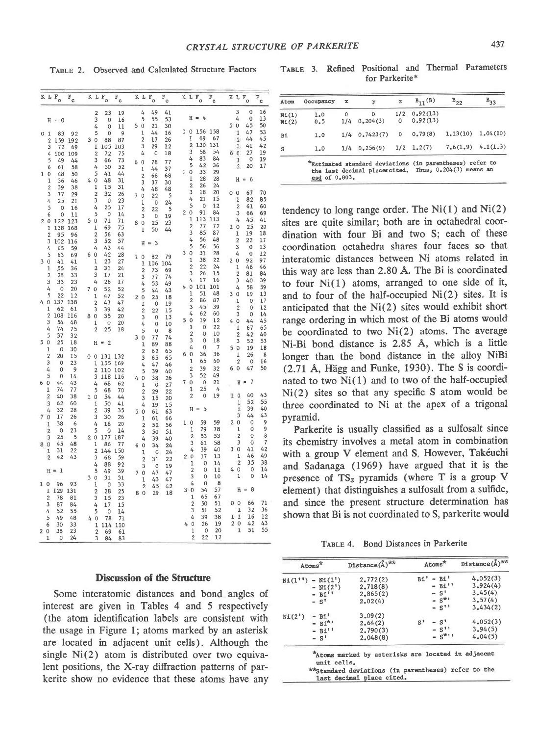TABLE 2. Observed and Calculated Structure Factors

TABLE 3. Refined Positional and Thermal Parameters for Parkerite\*

|    |                         | KLF <sub>o</sub>       | $F_{c}$   |                |                         | K L F <sub>o</sub> | $F_{c}$    |                |                              | K L F <sub>o</sub> | $F_{c}$  |                |                         | K L F <sub>o</sub> | $\mathbb{F}_{\mathtt{c}}$ | K L F <sub>o</sub>  |                         |                      | $\mathbf{F}_{\mathbf{c}}$ |
|----|-------------------------|------------------------|-----------|----------------|-------------------------|--------------------|------------|----------------|------------------------------|--------------------|----------|----------------|-------------------------|--------------------|---------------------------|---------------------|-------------------------|----------------------|---------------------------|
|    |                         |                        |           |                | $\overline{2}$          | 23                 | 19         |                | 4                            | 49                 | 41       |                |                         |                    |                           |                     | 3                       | 0                    | 16                        |
|    |                         | $H = 0$                |           |                | 3                       | $\mathbf 0$        | 16         |                | 5                            | 55                 | 53       |                |                         | $H = 4$            |                           |                     | 4                       | 0                    | 13                        |
|    |                         |                        |           |                | 4                       | 0                  | 11         |                | 50                           | 21                 | 30       | 0 <sub>0</sub> |                         | 156                | 158                       | 50                  |                         | 45                   | 50<br>53                  |
|    | 0 <sub>1</sub>          | 83                     | 92        |                | 5                       | 0                  | 9          |                | 1                            | 44                 | 16       |                | 1                       | 69                 | 67                        |                     | 1<br>$\overline{2}$     | 47<br>44             | 45                        |
|    | $\overline{2}$          | 159                    | 192       |                | 30                      | 88<br>105          | 87         |                | $\overline{2}$<br>3          | 17<br>29           | 26<br>12 |                | $\overline{2}$          | 130                | 131                       |                     | 3                       | 41                   | 42                        |
|    | 3<br>4                  | 72<br>100              | 69<br>109 |                | 1<br>$\overline{2}$     | 72                 | 103<br>75  |                | 4                            | $\mathbf 0$        | 18       |                | 3                       | 58                 | 54                        | 60                  |                         | 27                   | 19                        |
|    | 5                       | 49                     | 44        |                | 3                       | 66                 | 73         |                |                              |                    |          |                | 4                       | 83                 | 84                        |                     | ī                       | 0                    | 19                        |
|    | 6                       | 61                     | 58        |                | 4                       | 50                 | 52         | 6 0            |                              | 78                 | 77       |                | 5                       | 42                 | 36                        |                     | $\overline{2}$          | 20                   | 17                        |
| ı  | 0                       | 48                     | 50        |                | 5                       | 41                 | 44         |                | 1                            | 44                 | 37       | ı              | 0                       | 33                 | 29                        |                     |                         |                      |                           |
|    | 1                       | 36                     | 46        | 4              | 0                       | 48                 | 31         |                | $\overline{c}$<br>3          | 68<br>37           | 68<br>30 |                | ı                       | 28                 | 28                        |                     | н                       | - 6<br>$\approx$     |                           |
|    | $\overline{2}$          | 39                     | 38        |                | 1                       | 15                 | 31         |                | 4                            | 48                 | 48       |                | $\overline{c}$          | 26                 | $^{24}$                   |                     |                         |                      |                           |
|    | 3                       | 17                     | 29        |                | $\overline{2}$          | 32                 | 26         | $\overline{7}$ | 0                            | 22                 | 5        |                | 3                       | 18                 | 20                        | 0 <sub>0</sub>      |                         | 67                   | 70                        |
|    | 4                       | 25                     | 21        |                | 3                       | 0                  | 23         |                | ı                            | $\mathbf 0$        | 24       |                | 4                       | 21                 | 15                        |                     | 1                       | 82                   | 85                        |
|    | 5                       | $\circ$                | 16        |                | 4                       | 25                 | 17         |                | $\overline{2}$               | 22                 | 5        |                | 5                       | $\mathbf 0$        | 12                        |                     | $\overline{c}$          | 61                   | 60                        |
|    | 6                       | 0                      | 11        |                | 5                       | 0                  | 14         |                | 3                            | 0                  | 19       | 20             |                         | 91                 | 84                        |                     | 3                       | 66                   | 69                        |
|    | 20                      | 122 123                |           |                | 50                      | 71                 | 71         |                | 8 0                          | 25                 | 23       |                | 1                       | 113                | 113                       |                     | 4                       | 45                   | 41                        |
|    | 1                       | 138                    | 168       |                | 1                       | 69                 | 75         |                | 1                            | 50                 | 44       |                | $\overline{c}$<br>3     | 77                 | 72                        | 10                  |                         | 25                   | 20                        |
|    | 2                       | 95                     | 96        |                | $\overline{\mathbf{c}}$ | 56                 | 63         |                |                              |                    |          |                | 4                       | 85<br>56           | 87<br>48                  | ı                   |                         | 19                   | 18                        |
|    | 3                       | 102                    | 116       |                | 3                       | 52                 | 57         |                | Н                            | $= 3$              |          |                | 5                       | 56                 | 56                        | 3                   | 2                       | 22<br>0              | 17<br>13                  |
|    | 4                       | 65                     | 59        |                | 4                       | 43                 | 44         |                |                              |                    |          | 3              | 0                       | 31                 | 28                        | 4                   |                         | 0                    | $\overline{1}2$           |
| 3  | 5                       | 63                     | 69        | 6              | 0<br>1                  | 42<br>23           | 28<br>27   |                | 10                           | 82                 | 79       |                | 1                       | 38                 | 22                        | 20                  |                         | 92                   | 97                        |
|    | $\mathbf 0$<br>ı        | 41<br>55               | 41<br>36  |                | $\overline{2}$          | 31                 | 24         |                | 1                            | 106                | 104      |                | $\overline{2}$          | 22                 | 24                        |                     | 1                       | 46                   | 46                        |
|    | $\overline{2}$          | 28                     | 33        |                | 3                       | 17                 | 21         |                | $\overline{2}$               | 73                 | 69       |                | 3                       | 26                 | 15                        |                     | $\overline{c}$          | 81                   | 84                        |
|    | 3                       | 33                     | 23        |                | 4                       | 26                 | 17         |                | 3                            | 77                 | 74       |                | 4                       | 17                 | 16                        |                     | 3                       | 40                   | 39                        |
|    | 4                       | 0                      | 20        | 7              | $\mathbf{0}$            | 52                 | 52         |                | 4<br>5                       | 53                 | 49<br>43 | 4              | $\bf{0}$                | 101                | 101                       |                     | 4                       | 58                   | 59                        |
|    | 5                       | 22                     | 12        |                | 1                       | 47                 | 52         |                | 20                           | 44<br>25           | 18       |                | I                       | 51                 | 48                        | 30                  |                         | 19                   | 13                        |
| 4  | 0                       | 137                    | 138       |                | 2                       | 43                 | 47         |                | ı                            | $\mathbf 0$        | 19       |                | $\overline{\mathbf{c}}$ | 86                 | 87                        |                     | 1                       | 0                    | 17                        |
|    | 1                       | 62                     | 61        |                | 3                       | 39                 | 42         |                | $\overline{2}$               | 22                 | 15       |                | 3                       | 45                 | 39                        |                     | $\overline{c}$          | 0                    | 12                        |
|    | $\overline{c}$          | 108                    | 116       | 8              | $\mathbf 0$             | 35                 | 20         |                | 3                            | $\mathbf 0$        | 13       |                | 4                       | 62                 | 60                        |                     | 3                       | 0                    | 14                        |
|    | 3                       | 54                     | 48        |                | 1                       | 0                  | 20         |                | 4                            | $\mathbf 0$        | 10       | 50             |                         | 19                 | 12                        | $\overline{0}$<br>4 |                         | 44                   | 45                        |
|    | 4                       | 74                     | 75        |                | $\overline{2}$          | 25                 | 18         |                | 5                            | $\mathbf{0}$       | 8        |                | 1<br>$\overline{c}$     | 0<br>0             | 22<br>10                  |                     | 1                       | 67                   | 65                        |
|    | 5                       | 37                     | 32        |                |                         |                    |            |                | 30                           | 77                 | 74       |                | 3                       | 0                  | 18                        |                     | $\overline{2}$<br>3     | 42<br>52             | 40<br>53                  |
|    | 50                      | 25                     | 18        |                |                         | $H = 2$            |            |                | $\mathbf 1$                  | 89                 | 88       |                | 4                       | $\mathbf 0$        | 7                         | 5<br>$\mathbf 0$    |                         | 19                   | 18                        |
|    | $\bf{l}$                | 0                      | 30        |                |                         |                    |            |                | $\overline{2}$               | 62                 | 65       | 6 0            |                         | 36                 | 36                        |                     | 1                       | 26                   | 8                         |
|    | $\overline{2}$<br>3     | 20                     | 15        | 0 <sub>0</sub> |                         | 131 132            |            |                | 3                            | 65                 | 65       |                | 1                       | 65                 | 60                        |                     | $\overline{\mathbf{c}}$ | 0                    | 16                        |
|    | 4                       | $\circ$<br>$\mathbf 0$ | 23<br>9   |                | 1                       | 155                | 169        |                | 4                            | 47                 | 46       |                | 2                       | 39                 | 32                        | 6                   | 0                       | 47                   | 50                        |
|    | 5                       | $\mathbf 0$            | 14        |                | $\overline{2}$<br>3     | 110<br>118         | 102<br>116 |                | 5                            | 39                 | 40       |                | 3                       | 52                 | 49                        |                     |                         |                      |                           |
| 6  | 0                       | 44                     | 43        |                | 4                       | 68                 | 62         |                | 40                           | 38                 | 26       | 7              | $\mathbf 0$             | $\mathbf 0$        | 21                        |                     | Ħ                       | -7<br>$\overline{a}$ |                           |
|    | 1                       | 74                     | 77        |                | 5                       | 68                 | 70         |                | ī                            | 0<br>29            | 27<br>22 |                | ı                       | 25                 | 4                         |                     |                         |                      |                           |
|    | $\overline{c}$          | 40                     | 38        | 1              | 0                       | 54                 | 44         |                | $\overline{\mathbf{c}}$<br>3 | 15                 | 20       |                | $\overline{2}$          | $\overline{0}$     | 19                        | 1                   | Ö                       | 40                   | 43                        |
|    | 3                       | 62                     | 60        |                | 1                       | 50                 | 41         |                | 4                            | 19                 | 15       |                |                         |                    |                           |                     | 1                       | 52                   | 55                        |
|    | 4                       | 32                     | 28        |                | $\overline{2}$          | 39                 | 35         |                | 50                           | 61                 | 63       |                |                         | 5<br>$H =$         |                           |                     | $\overline{2}$          | 39                   | 40                        |
| 7  | 0                       | 17                     | 26        |                | 3                       | 30                 | 26         |                | 1                            | 61                 | 66       |                |                         |                    |                           |                     | 3                       | 44                   | 43                        |
|    | 1                       | 38                     | 6         |                | 4                       | 18                 | 20         |                | $\overline{2}$               | 52                 | 56       |                | 10                      | 59                 | 59                        | 2                   | $\mathbf 0$             | 0                    | 9                         |
|    | $\overline{\mathbf{2}}$ | $\circ$                | 23        |                | 5                       | 0                  | 14         |                | 3                            | 50                 | 51       |                | 1                       | 79                 | 78                        |                     | $\mathbf 1$             | 0                    | 9                         |
|    | 3                       | 25                     | 5         |                | 20                      | 177                | 187        |                | 4                            | 39                 | 40       |                | $\overline{\mathbf{c}}$ | 53                 | 53                        |                     | $\overline{c}$          | 0                    | 8                         |
| 80 |                         | 45                     | 48        |                | 1                       | 86                 | 77         |                | 6 0                          | 34                 | 24       |                | 3                       | 61                 | 58                        |                     | 3                       | 0                    | 7                         |
|    | 1                       | 31                     | 22        |                | $\overline{2}$          | 144                | 150        |                | 1                            | 0                  | 24       |                | 4                       | 39                 | 40<br>13                  | 3<br>$\mathbf 0$    | $\mathbf{1}$            | 41<br>46             | 42<br>49                  |
|    | $\overline{\mathbf{2}}$ | 42                     | 43        |                | 3                       | 68                 | 59         |                | $\overline{c}$               | 31                 | 22       |                | 20<br>ı                 | 17<br>$\circ$      | 14                        |                     | $\overline{2}$          | 35                   | 38                        |
|    |                         | $H = 1$                |           |                | 4                       | 88                 | 92         |                | 3                            | $\overline{0}$     | 19       |                | $\overline{2}$          | 0                  | 11                        | 4                   | $\circ$                 | 0                    | 14                        |
|    |                         |                        |           | 3              | 5<br>$\circ$            | 49<br>31           | 39<br>31   | $\overline{7}$ | $\circ$                      | 47                 | 47       |                | 3                       | 0                  | 10                        |                     | 1                       | $\mathbf 0$          | 14                        |
| 10 |                         | 96                     | 93        |                | 1                       | 0                  | 33         |                | 1                            | 43                 | 47       |                | 4                       | 0                  | 8                         |                     |                         |                      |                           |
|    | ı                       | 129                    | 131       |                | $\overline{c}$          | 28                 | 25         |                | $\overline{2}$               | 45                 | 42       |                | 30                      | 54                 | 57                        |                     |                         | $H = 8$              |                           |
|    | $\overline{c}$          | 78                     | 81        |                | 3                       | 15                 | 23         | 8              | $\circ$                      | 29                 | 18       |                | 1                       | 65                 | 67                        |                     |                         |                      |                           |
|    | 3                       | 87                     | 84        |                | 4                       | 17                 | 15         |                |                              |                    |          |                | $\overline{2}$          | 50                 | 51                        | 0 <sub>0</sub>      |                         | 66                   | 71                        |
|    | 4                       | 52                     | 55        |                | 5                       | 0                  | 14         |                |                              |                    |          |                | 3                       | 51                 | 52                        |                     | 1                       | 32                   | 36                        |
|    | 5                       | 49                     | 48        | 4              | 0                       | 78                 | 71         |                |                              |                    |          |                | 4                       | 39                 | 38                        | I                   | $\mathbf 1$             | 16                   | 12                        |
|    | 6                       | 30                     | 33        |                | ı                       | 114                | 110        |                |                              |                    |          | 4              | $\mathbf 0$             | 26                 | 19                        | 20                  |                         | 42                   | 43                        |
| 20 |                         | 38                     | 23        |                | $\overline{2}$          | 69                 | 61         |                |                              |                    |          |                | 1                       | $\mathbf 0$        | 20                        |                     | $\mathbf{1}$            | 51                   | 55                        |
|    | $\mathbf{1}$            | 0                      | 24        |                | 3                       | 84                 | 83         |                |                              |                    |          |                | $\overline{2}$          | 22                 | 17                        |                     |                         |                      |                           |
|    |                         |                        |           |                |                         |                    |            |                |                              |                    |          |                |                         |                    |                           |                     |                         |                      |                           |

### **Discussion of the Structure**

Some interatomic distances and bond angles of interest are given in Tables 4 and 5 respectively (the atom identification labels are consistent with the usage in Figure 1; atoms marked by an asterisk are located in adjacent unit cells). Although the single Ni(2) atom is distributed over two equivalent positions, the X-ray diffraction patterns of parkerite show no evidence that these atoms have any

| Atom           | Occupancy  | x |                            | z              | $B_{11}$ (B)               | $B_{22}$              | $B_{33}$ |
|----------------|------------|---|----------------------------|----------------|----------------------------|-----------------------|----------|
| N1(1)<br>N1(2) | 1.0<br>0.5 | 0 | $\bf{0}$<br>$1/4$ 0.204(3) | $\overline{0}$ | $1/2$ 0.92(13)<br>0.92(13) |                       |          |
| Bi             | 1.0        |   | $1/4$ 0.7423(7)            | $\mathbf{0}$   | 0.79(8)                    | $1.13(10)$ $1.04(10)$ |          |
| S              | 1.0        |   | $1/4$ 0.256(9)             |                | $1/2$ $1.2(7)$             | $7.6(1.9)$ $4.1(1.3)$ |          |

tendency to long range order. The  $Ni(1)$  and  $Ni(2)$ sites are quite similar; both are in octahedral coordination with four Bi and two S; each of these coordination octahedra shares four faces so that interatomic distances between Ni atoms related in this way are less than 2.80 Å. The Bi is coordinated to four  $Ni(1)$  atoms, arranged to one side of it, and to four of the half-occupied  $Ni(2)$  sites. It is anticipated that the Ni(2) sites would exhibit short range ordering in which most of the Bi atoms would be coordinated to two Ni(2) atoms. The average Ni-Bi bond distance is 2.85 Å, which is a little longer than the bond distance in the alloy NiBi (2.71 Å, Hägg and Funke, 1930). The S is coordinated to two Ni(1) and to two of the half-occupied  $Ni(2)$  sites so that any specific S atom would be three coordinated to Ni at the apex of a trigonal pyramid.

Parkerite is usually classified as a sulfosalt since its chemistry involves a metal atom in combination with a group V element and S. However, Takéuchi and Sadanaga (1969) have argued that it is the presence of  $TS_3$  pyramids (where T is a group V element) that distinguishes a sulfosalt from a sulfide, and since the present structure determination has shown that Bi is not coordinated to S, parkerite would

TABLE 4. Bond Distances in Parkerite

|                   | Atoms <sup>*</sup>   | Distance $(A)$ <sup>**</sup>                                                                                                           |                | Atoms <sup>*</sup>        | Distance $(\stackrel{>}{A})$ <sup>**</sup> |
|-------------------|----------------------|----------------------------------------------------------------------------------------------------------------------------------------|----------------|---------------------------|--------------------------------------------|
|                   | $N1(1'') - N1(1')$   | 2,772(2)                                                                                                                               |                | $Bi' - BI'$               | 4.052(3)                                   |
|                   | $- Ni(2")$           | 2,718(8)                                                                                                                               |                | $- B1$ <sup>11</sup>      | 3.924(4)                                   |
|                   | $- B1$ <sup>**</sup> | 2,865(2)                                                                                                                               |                | $- S1$                    | 3,45(4)                                    |
|                   | $-$ s <sup>t</sup>   | 2.02(4)                                                                                                                                |                | $ S^{\star}$ <sup>1</sup> | 3, 57(4)                                   |
|                   |                      |                                                                                                                                        |                | $- S11$                   | 3.434(2)                                   |
| $N1(2^{\dagger})$ | $-B1'$               | 3,09(2)                                                                                                                                |                |                           |                                            |
|                   | $- Bi^{*}$           | 2.64(2)                                                                                                                                | S <sup>1</sup> | $- S1$                    | 4,052(3)                                   |
|                   | $- B1$ <sup>11</sup> | 2,790(3)                                                                                                                               |                | $- S^{11}$                | 3.94(5)                                    |
|                   | $- S^+$              | 2.048(8)                                                                                                                               |                | $- S^{k+1}$               | 4,04(5)                                    |
|                   | unit cells.          | "Atoms marked by asterisks are located in adjacent<br>**Standard deviations (in parentheses) refer to the<br>last decimal place cited. |                |                           |                                            |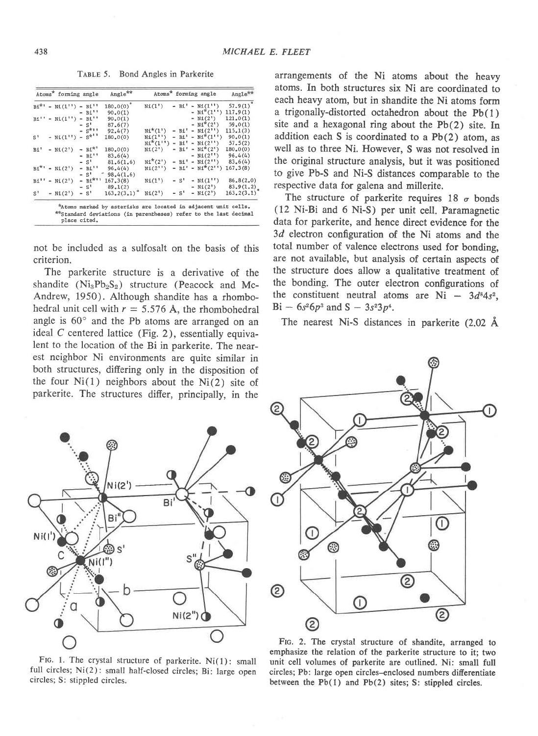TABLE 5. Bond Angles in Parkerite

|                | Atoms <sup>*</sup> forming angle |                      | Angle <sup>**</sup> |                               |  | Atoms <sup>*</sup> forming angle            | Angle <sup>**</sup> |
|----------------|----------------------------------|----------------------|---------------------|-------------------------------|--|---------------------------------------------|---------------------|
|                | $Bi^{*1} - N1(1'') - Bi^{11}$    |                      | $180.0(0)^{\circ}$  | Ni(1")                        |  | $- Bi' - NL(1'')$                           | $57.9(1)^{o}$       |
|                |                                  | $- Bi$ <sup>11</sup> | 90.0(1)             |                               |  | $- Ni^{*}(1'')$                             | 117,9(1)            |
|                | $B1'' - N1(1'') - B1''$          |                      | 90,0(1)             |                               |  | $- N1(2')$                                  | 121,0(1)            |
|                |                                  | $- S'$               | 87,6(7)             |                               |  | $- NI^*(2!)$                                | 59,0(1)             |
|                |                                  | $-5^{k+1}$           | 92,4(7)             | $Ni^*(1') - BI' - NI(2'')$    |  |                                             | 115, 1(3)           |
| S <sup>1</sup> | $- Ni(1^{11}) - S^{k^{11}}$      |                      | 180, 0(0)           |                               |  | $Ni(1^{11})$ - B1' - $Ni^*(1^{11})$ 90.0(1) |                     |
|                |                                  |                      |                     |                               |  | $Ni^*(1'') - Bi' - Ni(2'')$ 57.5(2)         |                     |
| Bi'            | $- NI(2') - BI^{*1}$             |                      | 180, 0(0)           | $N_1(2') - B_1' - N_1'^*(2')$ |  |                                             | 180, 0(0)           |
|                |                                  | $- B1$ ''            | 83,6(4)             |                               |  | $- NI(2'') 96.4(4)$                         |                     |
|                |                                  | $- S1$               | 81,6(1,6)           |                               |  | $Ni^*(2') - Bi' - Ni(2'')$ 83.6(4)          |                     |
|                | $Bi^{*1}$ - Ni(2 <sup>1</sup> )  | $- Bi$ <sup>11</sup> | 96.4(4)             |                               |  | $Ni(2'') - Bi' - Ni*(2'') 167.3(8)$         |                     |
|                |                                  | $-$ s <sup>+</sup>   | $-98,4(1,6)$        |                               |  |                                             |                     |
|                | $Bi^{11} - Ni(2)$                |                      | $- B1*1 167,3(8)$   | Ni(1')                        |  | $-S' - N1(1'')$                             | 86, 8(2, 0)         |
|                |                                  |                      | $-S'$ 89.1(2)       |                               |  | $- Ni(2")$                                  | 83.9(1.2)           |
|                | $S^7 - N_{\pm}(2^7)$             |                      | $- S' = 163.2(3.1)$ | $Ni(2') - S' - Ni(2')$        |  |                                             | 163, 2(3.1)         |

not be included as a sulfosalt on the basis of this criterion.

The parkerite structure is a derivative of the shandite  $(Ni_3Pb_2S_2)$  structure (Peacock and Mc-Andrew, 1950). Although shandite has a rhombohedral unit cell with  $r = 5.576$  Å, the rhombohedral angle is  $60^\circ$  and the Pb atoms are arranged on an ideal C centered lattice (Fig. 2), essentially equivalent to the location of the Bi in parkerite. The nearest neighbor Ni environments are quite similar in both structures, differing only in the disposition of the four  $Ni(1)$  neighbors about the  $Ni(2)$  site of parkerite. The structures difter, principally, in the

arrangements of the Ni atoms about the heavy atoms. In both structures six Ni are coordinated to each heavy atom, but in shandite the Ni atoms form a trigonally-distorted octahedron about the Pb(l) site and a hexagonal ring about the  $Pb(2)$  site. In addition each S is coordinated to a  $Pb(2)$  atom, as well as to three Ni. However. S was not resolved in the original structure analysis, but it was positioned to give Pb-S and Ni-S distances comparable to the respective data for galena and millerite.

The structure of parkerite requires  $18\sigma$  bonds (12 Ni-Bi and 6 Ni-S) per unit cell. Paramagnetic data for parkerite, and hence direct evidence for the 3d electron configuration of the Ni atoms and the total number of valence electrons used for bonding, are not available, but analysis of certain aspects of the structure does allow a qualitative treatment of the bonding. The outer electron configurations of the constituent neutral atoms are  $Ni - 3d^{8}4s^{2}$ ,  $Bi - 6s^26p^3$  and  $S - 3s^23p^4$ .

The nearest Ni-S distances in parkerite  $(2.02 \text{ Å})$ 



FIG. 1. The crystal structure of parkerite.  $Ni(1)$ : small full circles; Ni(2): small half-closed circles; Bi: large open circles; S: stippled circles.



FIG. 2. The crystal structure of shandite, arranged to ernphasize the relation of the parkerite structure to it; two unit cell volumes of parkerite are outlined. Ni: small full circles; Pb: large open circles-enclosed numbers differentiate between the Pb(l) and Pb(2) sites; S: stippled circles.

N<sub>i</sub>(1